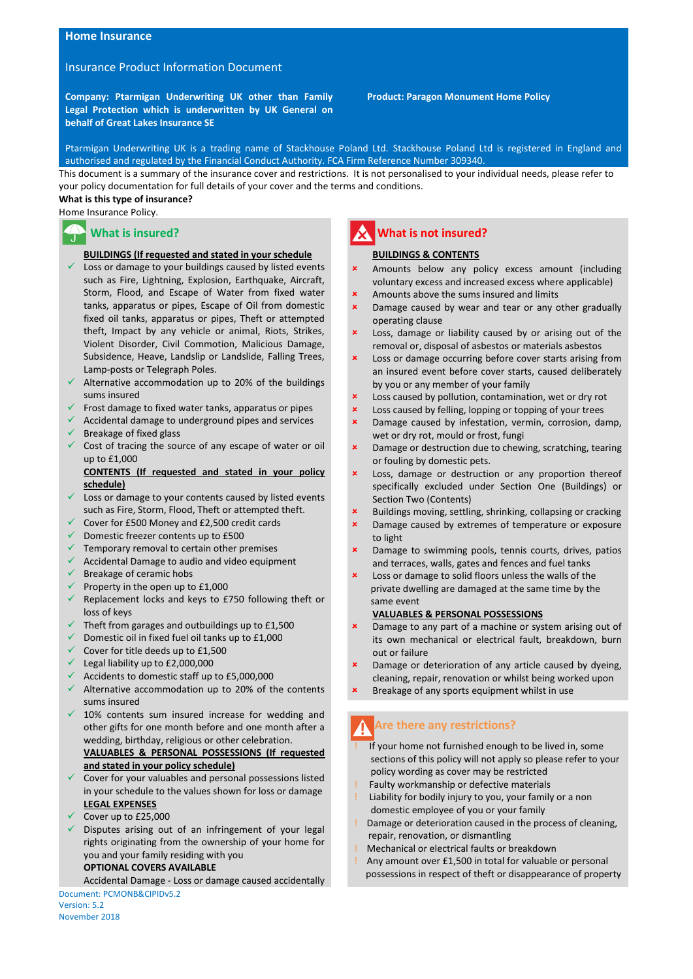#### **Home Insurance**

# Insurance Product Information Document

**Company: Ptarmigan Underwriting UK other than Family Legal Protection which is underwritten by UK General on behalf of Great Lakes Insurance SE**

 **Product: Paragon Monument Home Policy**

Ptarmigan Underwriting UK is a trading name of Stackhouse Poland Ltd. Stackhouse Poland Ltd is registered in England and authorised and regulated by the Financial Conduct Authority. FCA Firm Reference Number 309340.

This document is a summary of the insurance cover and restrictions. It is not personalised to your individual needs, please refer to your policy documentation for full details of your cover and the terms and conditions.

#### **What is this type of insurance?**

Home Insurance Policy.

# **What is insured?**

#### **BUILDINGS (If requested and stated in your schedule**

- $\checkmark$  Loss or damage to your buildings caused by listed events such as Fire, Lightning, Explosion, Earthquake, Aircraft, Storm, Flood, and Escape of Water from fixed water tanks, apparatus or pipes, Escape of Oil from domestic fixed oil tanks, apparatus or pipes, Theft or attempted theft, Impact by any vehicle or animal, Riots, Strikes, Violent Disorder, Civil Commotion, Malicious Damage, Subsidence, Heave, Landslip or Landslide, Falling Trees, Lamp-posts or Telegraph Poles.
- $\checkmark$  Alternative accommodation up to 20% of the buildings sums insured
- $\checkmark$  Frost damage to fixed water tanks, apparatus or pipes
- $\checkmark$  Accidental damage to underground pipes and services
- $\checkmark$  Breakage of fixed glass
- $\checkmark$  Cost of tracing the source of any escape of water or oil up to £1,000

#### **CONTENTS (If requested and stated in your policy schedule)**

- $\checkmark$  Loss or damage to your contents caused by listed events such as Fire, Storm, Flood, Theft or attempted theft.
- Cover for £500 Money and £2,500 credit cards
- $\checkmark$  Domestic freezer contents up to £500
- Temporary removal to certain other premises
- Accidental Damage to audio and video equipment
- Breakage of ceramic hobs
- Property in the open up to  $£1,000$
- $\checkmark$  Replacement locks and keys to £750 following theft or loss of keys
- $\checkmark$  Theft from garages and outbuildings up to £1,500
- $\checkmark$  Domestic oil in fixed fuel oil tanks up to £1,000
- $\checkmark$  Cover for title deeds up to £1,500
- $\checkmark$  Legal liability up to £2,000,000
- $\checkmark$  Accidents to domestic staff up to £5,000,000
- $\checkmark$  Alternative accommodation up to 20% of the contents sums insured
- $\checkmark$  10% contents sum insured increase for wedding and other gifts for one month before and one month after a wedding, birthday, religious or other celebration. **VALUABLES & PERSONAL POSSESSIONS (If requested and stated in your policy schedule)**
- $\checkmark$  Cover for your valuables and personal possessions listed in your schedule to the values shown for loss or damage **LEGAL EXPENSES**
- Cover up to £25,000
- $\checkmark$  Disputes arising out of an infringement of your legal rights originating from the ownership of your home for you and your family residing with you **OPTIONAL COVERS AVAILABLE**

Document: PCMONB&CIPIDv5.2 Accidental Damage - Loss or damage caused accidentally

Version: 5.2 November 2018

# **What is not insured?**

#### **BUILDINGS & CONTENTS**

- Amounts below any policy excess amount (including voluntary excess and increased excess where applicable)
- Amounts above the sums insured and limits
- Damage caused by wear and tear or any other gradually operating clause
- Loss, damage or liability caused by or arising out of the removal or, disposal of asbestos or materials asbestos
- Loss or damage occurring before cover starts arising from an insured event before cover starts, caused deliberately by you or any member of your family
- **x** Loss caused by pollution, contamination, wet or dry rot
- **x** Loss caused by felling, lopping or topping of your trees
- **x** Damage caused by infestation, vermin, corrosion, damp, wet or dry rot, mould or frost, fungi
- Damage or destruction due to chewing, scratching, tearing or fouling by domestic pets.
- Loss, damage or destruction or any proportion thereof specifically excluded under Section One (Buildings) or Section Two (Contents)
- Buildings moving, settling, shrinking, collapsing or cracking
- Damage caused by extremes of temperature or exposure to light
- Damage to swimming pools, tennis courts, drives, patios and terraces, walls, gates and fences and fuel tanks
- Loss or damage to solid floors unless the walls of the private dwelling are damaged at the same time by the same event

#### **VALUABLES & PERSONAL POSSESSIONS**

- Damage to any part of a machine or system arising out of its own mechanical or electrical fault, breakdown, burn out or failure
- Damage or deterioration of any article caused by dyeing, cleaning, repair, renovation or whilst being worked upon
- Breakage of any sports equipment whilst in use

# **Are there any restrictions?**

- If your home not furnished enough to be lived in, some sections of this policy will not apply so please refer to your policy wording as cover may be restricted
- Faulty workmanship or defective materials
- Liability for bodily injury to you, your family or a non domestic employee of you or your family
- Damage or deterioration caused in the process of cleaning, repair, renovation, or dismantling
- ! Mechanical or electrical faults or breakdown
- ! Any amount over £1,500 in total for valuable or personal possessions in respect of theft or disappearance of property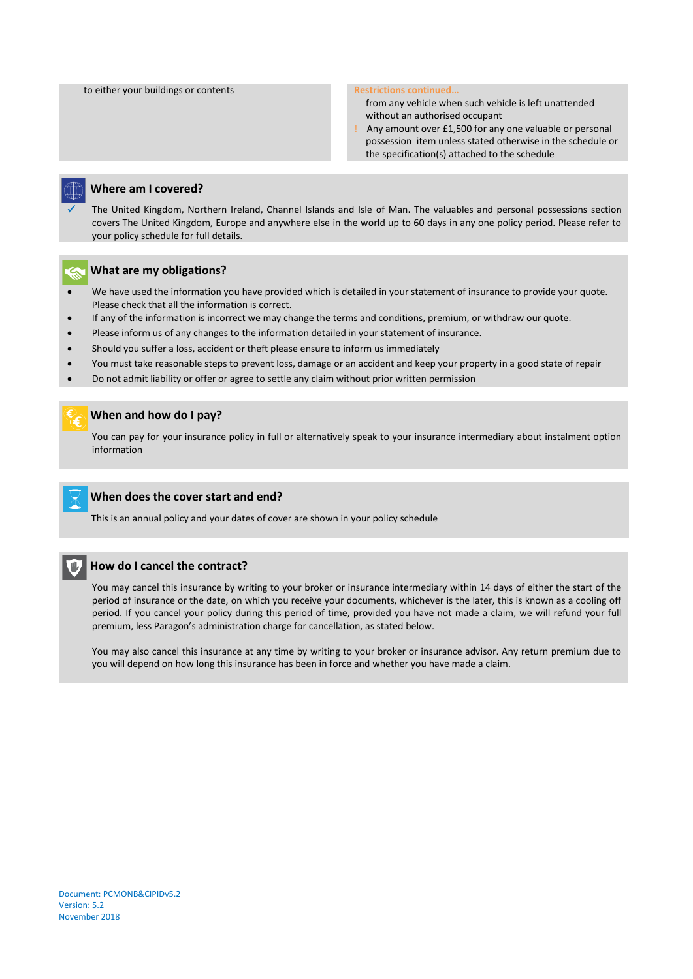#### to either your buildings or contents **Restrictions continued. Restrictions continued.**

 from any vehicle when such vehicle is left unattended without an authorised occupant

! Any amount over £1,500 for any one valuable or personal possession item unless stated otherwise in the schedule or the specification(s) attached to the schedule



#### **Where am I covered?**

 The United Kingdom, Northern Ireland, Channel Islands and Isle of Man. The valuables and personal possessions section covers The United Kingdom, Europe and anywhere else in the world up to 60 days in any one policy period. Please refer to your policy schedule for full details.



#### **What are my obligations?**

- We have used the information you have provided which is detailed in your statement of insurance to provide your quote. Please check that all the information is correct.
- If any of the information is incorrect we may change the terms and conditions, premium, or withdraw our quote.
- Please inform us of any changes to the information detailed in your statement of insurance.
- Should you suffer a loss, accident or theft please ensure to inform us immediately
- You must take reasonable steps to prevent loss, damage or an accident and keep your property in a good state of repair
- Do not admit liability or offer or agree to settle any claim without prior written permission

#### **When and how do I pay?**

You can pay for your insurance policy in full or alternatively speak to your insurance intermediary about instalment option information

### **When does the cover start and end?**

This is an annual policy and your dates of cover are shown in your policy schedule



 $\overline{1}$ 

# **How do I cancel the contract?**

You may cancel this insurance by writing to your broker or insurance intermediary within 14 days of either the start of the period of insurance or the date, on which you receive your documents, whichever is the later, this is known as a cooling off period. If you cancel your policy during this period of time, provided you have not made a claim, we will refund your full premium, less Paragon's administration charge for cancellation, as stated below.

You may also cancel this insurance at any time by writing to your broker or insurance advisor. Any return premium due to you will depend on how long this insurance has been in force and whether you have made a claim.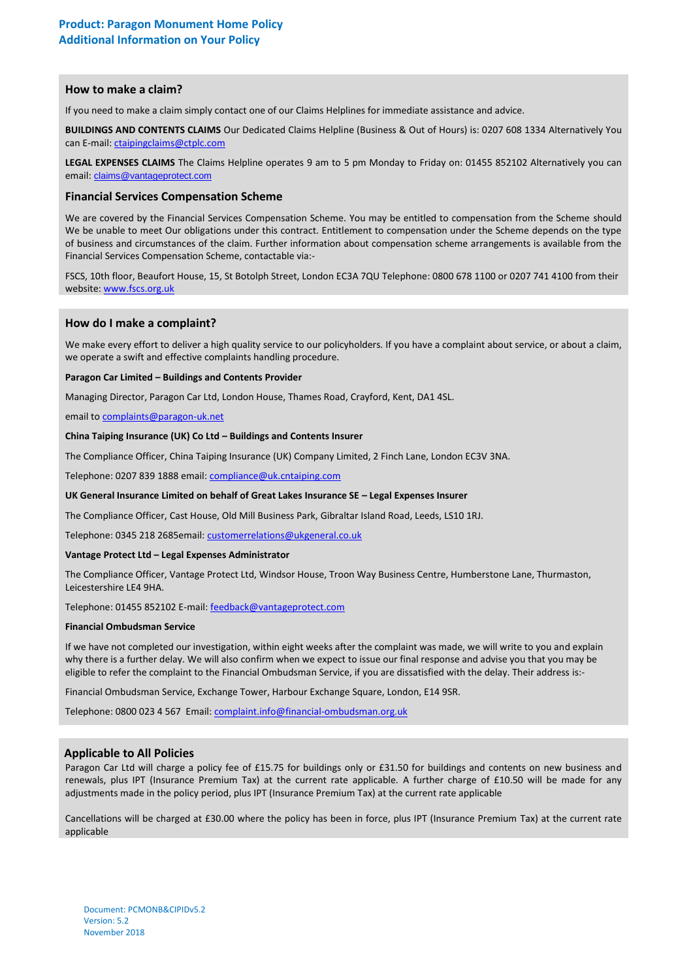### **How to make a claim?**

If you need to make a claim simply contact one of our Claims Helplines for immediate assistance and advice.

**BUILDINGS AND CONTENTS CLAIMS** Our Dedicated Claims Helpline (Business & Out of Hours) is: 0207 608 1334 Alternatively You can E-mail[: ctaipingclaims@ctplc.com](mailto:ctaipingclaims@ctplc.com)

**LEGAL EXPENSES CLAIMS** The Claims Helpline operates 9 am to 5 pm Monday to Friday on: 01455 852102 Alternatively you can email: [claims@vantageprotect.com](mailto:claims@vantageprotect.com)

# **Financial Services Compensation Scheme**

We are covered by the Financial Services Compensation Scheme. You may be entitled to compensation from the Scheme should We be unable to meet Our obligations under this contract. Entitlement to compensation under the Scheme depends on the type of business and circumstances of the claim. Further information about compensation scheme arrangements is available from the Financial Services Compensation Scheme, contactable via:-

FSCS, 10th floor, Beaufort House, 15, St Botolph Street, London EC3A 7QU Telephone: 0800 678 1100 or 0207 741 4100 from their website[: www.fscs.org.uk](http://www.fscs.org.uk/)

## **How do I make a complaint?**

We make every effort to deliver a high quality service to our policyholders. If you have a complaint about service, or about a claim, we operate a swift and effective complaints handling procedure.

#### **Paragon Car Limited – Buildings and Contents Provider**

Managing Director, Paragon Car Ltd, London House, Thames Road, Crayford, Kent, DA1 4SL.

email to [complaints@paragon-uk.net](mailto:complaints@paragon-uk.net)

### **China Taiping Insurance (UK) Co Ltd – Buildings and Contents Insurer**

The Compliance Officer, China Taiping Insurance (UK) Company Limited, 2 Finch Lane, London EC3V 3NA.

Telephone: 0207 839 1888 email: [compliance@uk.cntaiping.com](mailto:compliance@uk.cntaiping.com)

#### **UK General Insurance Limited on behalf of Great Lakes Insurance SE – Legal Expenses Insurer**

The Compliance Officer, Cast House, Old Mill Business Park, Gibraltar Island Road, Leeds, LS10 1RJ.

Telephone: 0345 218 2685email: [customerrelations@ukgeneral.co.uk](mailto:customerrelations@ukgeneral.co.uk)

#### **Vantage Protect Ltd – Legal Expenses Administrator**

The Compliance Officer, Vantage Protect Ltd, Windsor House, Troon Way Business Centre, Humberstone Lane, Thurmaston, Leicestershire LE4 9HA.

Telephone: 01455 852102 E-mail: [feedback@vantageprotect.com](mailto:feedback@vantageprotect.com)

#### **Financial Ombudsman Service**

If we have not completed our investigation, within eight weeks after the complaint was made, we will write to you and explain why there is a further delay. We will also confirm when we expect to issue our final response and advise you that you may be eligible to refer the complaint to the Financial Ombudsman Service, if you are dissatisfied with the delay. Their address is:-

Financial Ombudsman Service, Exchange Tower, Harbour Exchange Square, London, E14 9SR.

Telephone: 0800 023 4 567 Email[: complaint.info@financial-ombudsman.org.uk](mailto:complaint.info@financial-ombudsman.org.uk)

#### **Applicable to All Policies**

Paragon Car Ltd will charge a policy fee of £15.75 for buildings only or £31.50 for buildings and contents on new business and renewals, plus IPT (Insurance Premium Tax) at the current rate applicable. A further charge of £10.50 will be made for any adjustments made in the policy period, plus IPT (Insurance Premium Tax) at the current rate applicable

Cancellations will be charged at £30.00 where the policy has been in force, plus IPT (Insurance Premium Tax) at the current rate applicable